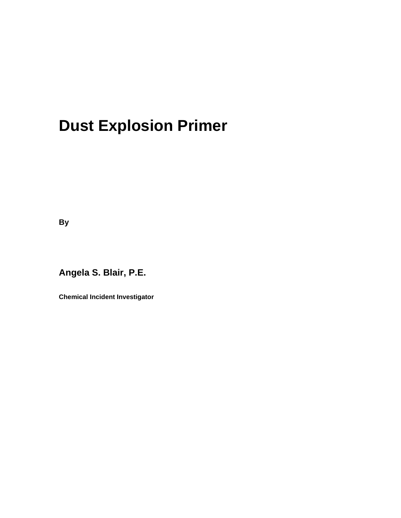# **Dust Explosion Primer**

**By**

**Angela S. Blair, P.E.**

**Chemical Incident Investigator**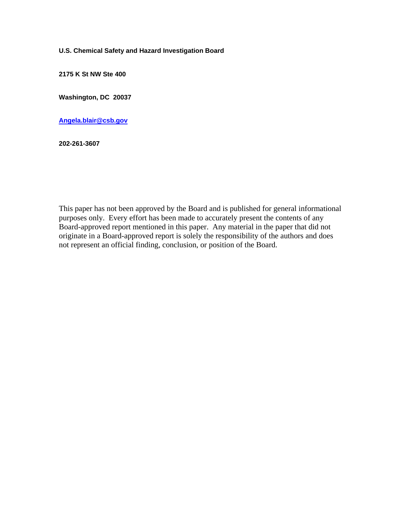#### **U.S. Chemical Safety and Hazard Investigation Board**

**2175 K St NW Ste 400**

**Washington, DC 20037**

**[Angela.blair@csb.gov](mailto:Angela.blair@csb.gov)**

**202-261-3607**

This paper has not been approved by the Board and is published for general informational purposes only. Every effort has been made to accurately present the contents of any Board-approved report mentioned in this paper. Any material in the paper that did not originate in a Board-approved report is solely the responsibility of the authors and does not represent an official finding, conclusion, or position of the Board.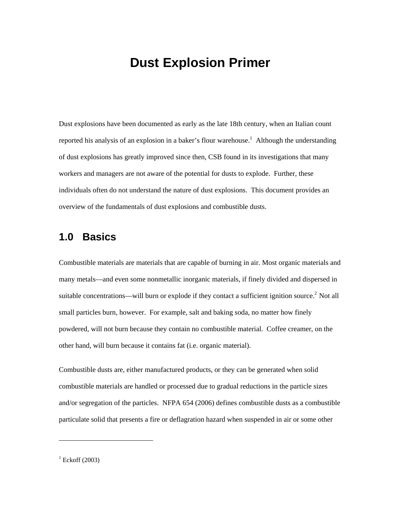# **Dust Explosion Primer**

Dust explosions have been documented as early as the late 18th century, when an Italian count reportedhis analysis of an explosion in a baker's flour warehouse.<sup>1</sup> Although the understanding of dust explosions has greatly improved since then, CSB found in its investigations that many workers and managers are not aware of the potential for dusts to explode. Further, these individuals often do not understand the nature of dust explosions. This document provides an overview of the fundamentals of dust explosions and combustible dusts.

# **1.0 Basics**

Combustible materials are materials that are capable of burning in air. Most organic materials and many metals—and even some nonmetallic inorganic materials, if finely divided and dispersed in suitable concentrations—will burn or explode if they contact a sufficient ignition source.<sup>2</sup> Not all small particles burn, however. For example, salt and baking soda, no matter how finely powdered, will not burn because they contain no combustible material. Coffee creamer, on the other hand, will burn because it contains fat (i.e. organic material).

Combustible dusts are, either manufactured products, or they can be generated when solid combustible materials are handled or processed due to gradual reductions in the particle sizes and/or segregation of the particles. NFPA 654 (2006) defines combustible dusts as a combustible particulate solid that presents a fire or deflagration hazard when suspended in air or some other

<span id="page-2-1"></span><span id="page-2-0"></span> $1$  Eckoff (2003)

-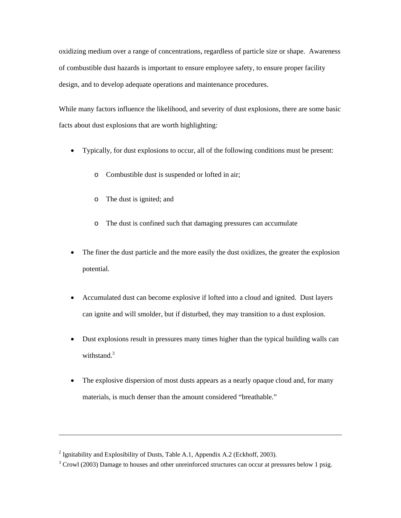oxidizing medium over a range of concentrations, regardless of particle size or shape. Awareness of combustible dust hazards is important to ensure employee safety, to ensure proper facility design, and to develop adequate operations and maintenance procedures.

While many factors influence the likelihood, and severity of dust explosions, there are some basic facts about dust explosions that are worth highlighting:

- Typically, for dust explosions to occur, all of the following conditions must be present:
	- o Combustible dust is suspended or lofted in air;
	- o The dust is ignited; and
	- o The dust is confined such that damaging pressures can accumulate
- The finer the dust particle and the more easily the dust oxidizes, the greater the explosion potential.
- Accumulated dust can become explosive if lofted into a cloud and ignited. Dust layers can ignite and will smolder, but if disturbed, they may transition to a dust explosion.
- Dust explosions result in pressures many times higher than the typical building walls can withstand.<sup>[3](#page-3-0)</sup>
- The explosive dispersion of most dusts appears as a nearly opaque cloud and, for many materials, is much denser than the amount considered "breathable."

1

<sup>&</sup>lt;sup>2</sup> Ignitability and Explosibility of Dusts, Table A.1, Appendix A.2 (Eckhoff, 2003).

<span id="page-3-0"></span> $3$  Crowl (2003) Damage to houses and other unreinforced structures can occur at pressures below 1 psig.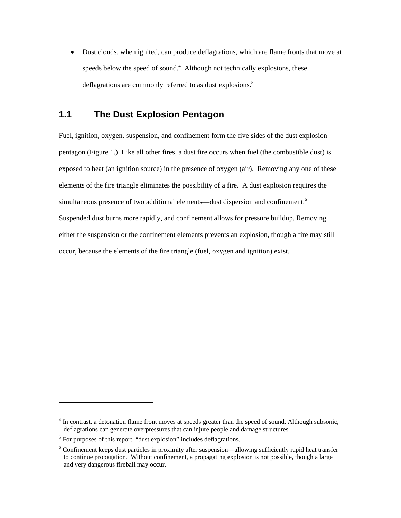• Dust clouds, when ignited, can produce deflagrations, which are flame fronts that move at speeds below the speed of sound. $4$  Although not technically explosions, these deflagrations are commonly referred to as dust explosions.<sup>5</sup>

# **1.1 The Dust Explosion Pentagon**

Fuel, ignition, oxygen, suspension, and confinement form the five sides of the dust explosion pentagon ([Figure 1.](#page-17-0)) Like all other fires, a dust fire occurs when fuel (the combustible dust) is exposed to heat (an ignition source) in the presence of oxygen (air). Removing any one of these elements of the fire triangle eliminates the possibility of a fire. A dust explosion requires the simultaneous presence of two additional elements—dust dispersion and confinement.<sup>[6](#page-4-1)</sup> Suspended dust burns more rapidly, and confinement allows for pressure buildup. Removing either the suspension or the confinement elements prevents an explosion, though a fire may still occur, because the elements of the fire triangle (fuel, oxygen and ignition) exist.

<span id="page-4-0"></span><sup>&</sup>lt;sup>4</sup> In contrast, a detonation flame front moves at speeds greater than the speed of sound. Although subsonic, deflagrations can generate overpressures that can injure people and damage structures.

<sup>&</sup>lt;sup>5</sup> For purposes of this report, "dust explosion" includes deflagrations.

<span id="page-4-1"></span><sup>&</sup>lt;sup>6</sup> Confinement keeps dust particles in proximity after suspension—allowing sufficiently rapid heat transfer to continue propagation. Without confinement, a propagating explosion is not possible, though a large and very dangerous fireball may occur.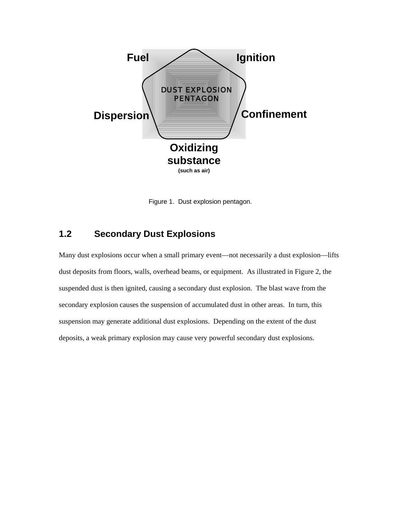

Figure 1. Dust explosion pentagon.

# **1.2 Secondary Dust Explosions**

Many dust explosions occur when a small primary event—not necessarily a dust explosion—lifts dust deposits from floors, walls, overhead beams, or equipment. As illustrated in [Figure 2,](#page-17-0) the suspended dust is then ignited, causing a secondary dust explosion. The blast wave from the secondary explosion causes the suspension of accumulated dust in other areas. In turn, this suspension may generate additional dust explosions. Depending on the extent of the dust deposits, a weak primary explosion may cause very powerful secondary dust explosions.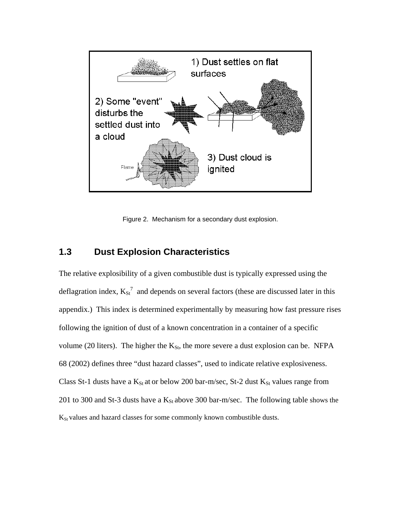

Figure 2. Mechanism for a secondary dust explosion.

### **1.3 Dust Explosion Characteristics**

<span id="page-6-0"></span>The relative explosibility of a given combustible dust is typically expressed using the deflagrationindex,  $K_{St}^7$  and depends on several factors (these are discussed later in this appendix.) This index is determined experimentally by measuring how fast pressure rises following the ignition of dust of a known concentration in a container of a specific volume (20 liters). The higher the  $K_{St}$ , the more severe a dust explosion can be. NFPA 68 (2002) defines three "dust hazard classes", used to indicate relative explosiveness. Class St-1 dusts have a  $K_{St}$  at or below 200 bar-m/sec, St-2 dust  $K_{St}$  values range from 201 to 300 and St-3 dusts have a  $K_{St}$  above 300 bar-m/sec. The following table shows the  $K_{St}$  values and hazard classes for some commonly known combustible dusts.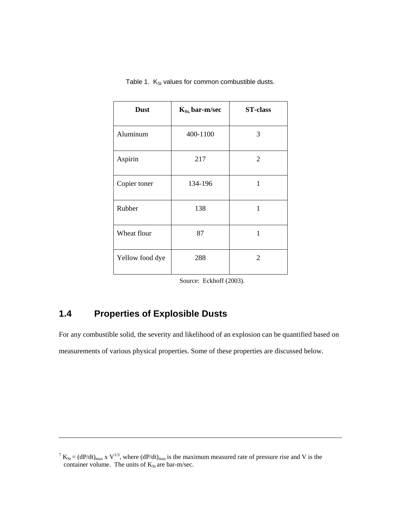| <b>Dust</b>     | $K_{St}$ , bar-m/sec | <b>ST-class</b> |
|-----------------|----------------------|-----------------|
| Aluminum        | 400-1100             | 3               |
| Aspirin         | 217                  | $\overline{2}$  |
| Copier toner    | 134-196              | $\mathbf{1}$    |
| Rubber          | 138                  | 1               |
| Wheat flour     | 87                   | 1               |
| Yellow food dye | 288                  | $\mathfrak{2}$  |

Table 1.  $K_{St}$  values for common combustible dusts.

Source: Eckhoff (2003).

# **1.4 Properties of Explosible Dusts**

l

For any combustible solid, the severity and likelihood of an explosion can be quantified based on measurements of various physical properties. Some of these properties are discussed below.

 $7 K_{St} = (dP/dt)_{max}$  x  $V^{1/3}$ , where  $(dP/dt)_{max}$  is the maximum measured rate of pressure rise and V is the container volume. The units of  $K_{St}$  are bar-m/sec.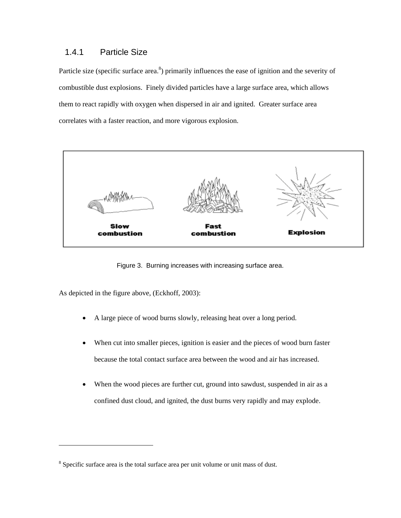# 1.4.1 Particle Size

Particle size (specific surface area.<sup>[8](#page-8-0)</sup>) primarily influences the ease of ignition and the severity of combustible dust explosions. Finely divided particles have a large surface area, which allows them to react rapidly with oxygen when dispersed in air and ignited. Greater surface area correlates with a faster reaction, and more vigorous explosion.



Figure 3. Burning increases with increasing surface area.

As depicted in the figure above, (Eckhoff, 2003):

- A large piece of wood burns slowly, releasing heat over a long period.
- When cut into smaller pieces, ignition is easier and the pieces of wood burn faster because the total contact surface area between the wood and air has increased.
- When the wood pieces are further cut, ground into sawdust, suspended in air as a confined dust cloud, and ignited, the dust burns very rapidly and may explode.

<span id="page-8-0"></span><sup>&</sup>lt;sup>8</sup> Specific surface area is the total surface area per unit volume or unit mass of dust.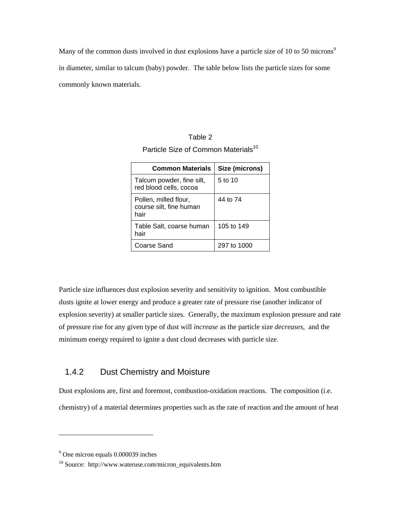Many of the common dusts involved in dust explosions have a particle size of 10 to 50 microns<sup>[9](#page-9-0)</sup> in diameter, similar to talcum (baby) powder. The table below lists the particle sizes for some commonly known materials.

| Table 2                                         |  |
|-------------------------------------------------|--|
| Particle Size of Common Materials <sup>10</sup> |  |

| <b>Common Materials</b>                                  | Size (microns) |
|----------------------------------------------------------|----------------|
| Talcum powder, fine silt,<br>red blood cells, cocoa      | 5 to 10        |
| Pollen, milled flour,<br>course silt, fine human<br>hair | 44 to 74       |
| Table Salt, coarse human<br>hair                         | 105 to 149     |
| Coarse Sand                                              | 297 to 1000    |

Particle size influences dust explosion severity and sensitivity to ignition. Most combustible dusts ignite at lower energy and produce a greater rate of pressure rise (another indicator of explosion severity) at smaller particle sizes. Generally, the maximum explosion pressure and rate of pressure rise for any given type of dust will *increase* as the particle size *decreases,* and the minimum energy required to ignite a dust cloud decreases with particle size.

### 1.4.2 Dust Chemistry and Moisture

Dust explosions are, first and foremost, combustion-oxidation reactions. The composition (i.e. chemistry) of a material determines properties such as the rate of reaction and the amount of heat

<span id="page-9-0"></span><sup>&</sup>lt;sup>9</sup> One micron equals 0.000039 inches

<span id="page-9-1"></span><sup>10</sup> Source: http://www.wateruse.com/micron\_equivalents.htm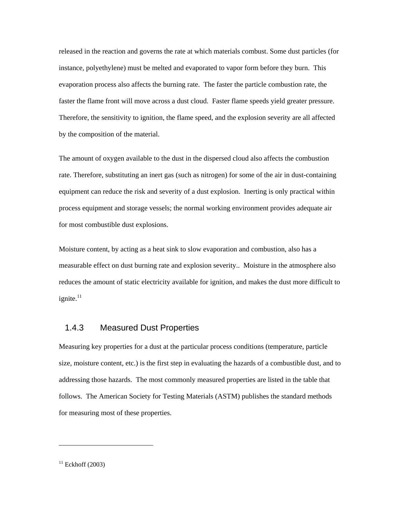released in the reaction and governs the rate at which materials combust. Some dust particles (for instance, polyethylene) must be melted and evaporated to vapor form before they burn. This evaporation process also affects the burning rate. The faster the particle combustion rate, the faster the flame front will move across a dust cloud. Faster flame speeds yield greater pressure. Therefore, the sensitivity to ignition, the flame speed, and the explosion severity are all affected by the composition of the material.

The amount of oxygen available to the dust in the dispersed cloud also affects the combustion rate. Therefore, substituting an inert gas (such as nitrogen) for some of the air in dust-containing equipment can reduce the risk and severity of a dust explosion. Inerting is only practical within process equipment and storage vessels; the normal working environment provides adequate air for most combustible dust explosions.

Moisture content, by acting as a heat sink to slow evaporation and combustion, also has a measurable effect on dust burning rate and explosion severity.. Moisture in the atmosphere also reduces the amount of static electricity available for ignition, and makes the dust more difficult to ignite. $11$ 

#### 1.4.3 Measured Dust Properties

Measuring key properties for a dust at the particular process conditions (temperature, particle size, moisture content, etc.) is the first step in evaluating the hazards of a combustible dust, and to addressing those hazards. The most commonly measured properties are listed in the table that follows. The American Society for Testing Materials (ASTM) publishes the standard methods for measuring most of these properties.

<span id="page-10-0"></span> $11$  Eckhoff (2003)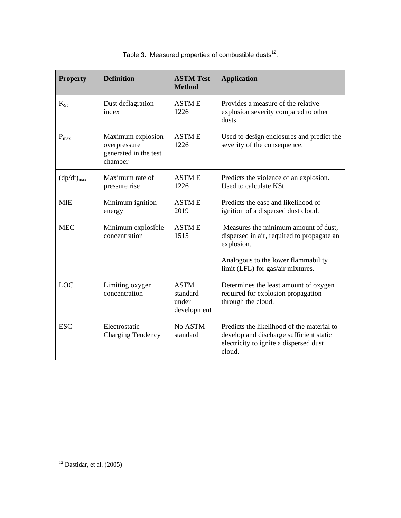| <b>Property</b> | <b>Definition</b>                                                     | <b>ASTM Test</b><br><b>Method</b>               | <b>Application</b>                                                                                                                                                           |
|-----------------|-----------------------------------------------------------------------|-------------------------------------------------|------------------------------------------------------------------------------------------------------------------------------------------------------------------------------|
| $K_{St}$        | Dust deflagration<br>index                                            | <b>ASTME</b><br>1226                            | Provides a measure of the relative<br>explosion severity compared to other<br>dusts.                                                                                         |
| $P_{max}$       | Maximum explosion<br>overpressure<br>generated in the test<br>chamber | <b>ASTME</b><br>1226                            | Used to design enclosures and predict the<br>severity of the consequence.                                                                                                    |
| $(dp/dt)_{max}$ | Maximum rate of<br>pressure rise                                      | <b>ASTME</b><br>1226                            | Predicts the violence of an explosion.<br>Used to calculate KSt.                                                                                                             |
| <b>MIE</b>      | Minimum ignition<br>energy                                            | <b>ASTME</b><br>2019                            | Predicts the ease and likelihood of<br>ignition of a dispersed dust cloud.                                                                                                   |
| <b>MEC</b>      | Minimum explosible<br>concentration                                   | <b>ASTME</b><br>1515                            | Measures the minimum amount of dust,<br>dispersed in air, required to propagate an<br>explosion.<br>Analogous to the lower flammability<br>limit (LFL) for gas/air mixtures. |
| LOC             | Limiting oxygen<br>concentration                                      | <b>ASTM</b><br>standard<br>under<br>development | Determines the least amount of oxygen<br>required for explosion propagation<br>through the cloud.                                                                            |
| <b>ESC</b>      | Electrostatic<br><b>Charging Tendency</b>                             | No ASTM<br>standard                             | Predicts the likelihood of the material to<br>develop and discharge sufficient static<br>electricity to ignite a dispersed dust<br>cloud.                                    |

Table 3. Measured properties of combustible dusts $^{12}$ .

<span id="page-11-0"></span> $12$  Dastidar, et al. (2005)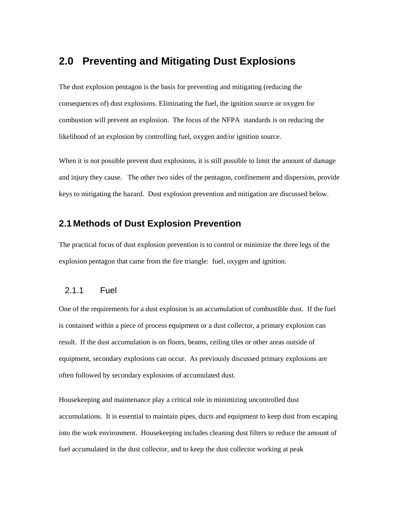# **2.0 Preventing and Mitigating Dust Explosions**

The dust explosion pentagon is the basis for preventing and mitigating (reducing the consequences of) dust explosions. Eliminating the fuel, the ignition source or oxygen for combustion will prevent an explosion. The focus of the NFPA standards is on reducing the likelihood of an explosion by controlling fuel, oxygen and/or ignition source.

When it is not possible prevent dust explosions, it is still possible to limit the amount of damage and injury they cause. The other two sides of the pentagon, confinement and dispersion, provide keys to mitigating the hazard. Dust explosion prevention and mitigation are discussed below.

# **2.1 Methods of Dust Explosion Prevention**

The practical focus of dust explosion prevention is to control or minimize the three legs of the explosion pentagon that came from the fire triangle: fuel, oxygen and ignition.

#### 2.1.1 Fuel

One of the requirements for a dust explosion is an accumulation of combustible dust. If the fuel is contained within a piece of process equipment or a dust collector, a primary explosion can result. If the dust accumulation is on floors, beams, ceiling tiles or other areas outside of equipment, secondary explosions can occur. As previously discussed primary explosions are often followed by secondary explosions of accumulated dust.

Housekeeping and maintenance play a critical role in minimizing uncontrolled dust accumulations. It is essential to maintain pipes, ducts and equipment to keep dust from escaping into the work environment. Housekeeping includes cleaning dust filters to reduce the amount of fuel accumulated in the dust collector, and to keep the dust collector working at peak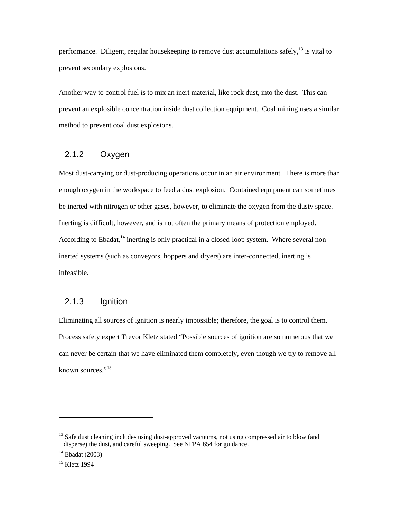performance. Diligent, regular housekeeping to remove dust accumulations safely,  $^{13}$  is vital to prevent secondary explosions.

Another way to control fuel is to mix an inert material, like rock dust, into the dust. This can prevent an explosible concentration inside dust collection equipment. Coal mining uses a similar method to prevent coal dust explosions.

#### 2.1.2 Oxygen

Most dust-carrying or dust-producing operations occur in an air environment. There is more than enough oxygen in the workspace to feed a dust explosion. Contained equipment can sometimes be inerted with nitrogen or other gases, however, to eliminate the oxygen from the dusty space. Inerting is difficult, however, and is not often the primary means of protection employed. According to Ebadat, $^{14}$  inerting is only practical in a closed-loop system. Where several noninerted systems (such as conveyors, hoppers and dryers) are inter-connected, inerting is infeasible.

### 2.1.3 Ignition

Eliminating all sources of ignition is nearly impossible; therefore, the goal is to control them. Process safety expert Trevor Kletz stated "Possible sources of ignition are so numerous that we can never be certain that we have eliminated them completely, even though we try to remove all known sources."<sup>15</sup>

<span id="page-13-0"></span><sup>&</sup>lt;sup>13</sup> Safe dust cleaning includes using dust-approved vacuums, not using compressed air to blow (and disperse) the dust, and careful sweeping. See NFPA 654 for guidance.

<span id="page-13-1"></span> $14$  Ebadat (2003)

<span id="page-13-2"></span><sup>&</sup>lt;sup>15</sup> Kletz 1994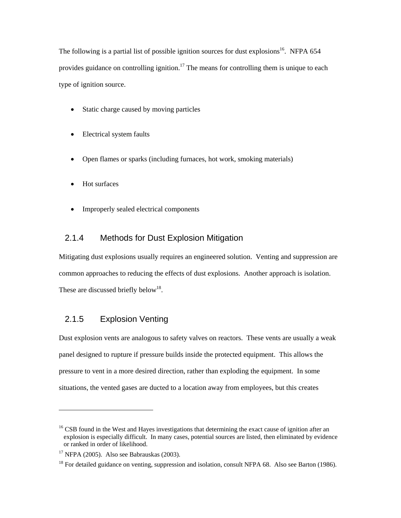The following is a partial list of possible ignition sources for dust explosions<sup>16</sup>. NFPA 654 provides guidance on controlling ignition.<sup>17</sup> [T](#page-14-1)he means for controlling them is unique to each type of ignition source.

- Static charge caused by moving particles
- Electrical system faults
- Open flames or sparks (including furnaces, hot work, smoking materials)
- Hot surfaces
- Improperly sealed electrical components

### 2.1.4 Methods for Dust Explosion Mitigation

Mitigating dust explosions usually requires an engineered solution. Venting and suppression are common approaches to reducing the effects of dust explosions. Another approach is isolation. These are discussed briefly below<sup>18</sup>.

### 2.1.5 Explosion Venting

Dust explosion vents are analogous to safety valves on reactors. These vents are usually a weak panel designed to rupture if pressure builds inside the protected equipment. This allows the pressure to vent in a more desired direction, rather than exploding the equipment. In some situations, the vented gases are ducted to a location away from employees, but this creates

<span id="page-14-0"></span><sup>&</sup>lt;sup>16</sup> CSB found in the West and Hayes investigations that determining the exact cause of ignition after an explosion is especially difficult. In many cases, potential sources are listed, then eliminated by evidence or ranked in order of likelihood.

<span id="page-14-1"></span> $17$  NFPA (2005). Also see Babrauskas (2003).

<span id="page-14-2"></span><sup>&</sup>lt;sup>18</sup> For detailed guidance on venting, suppression and isolation, consult NFPA 68. Also see Barton (1986).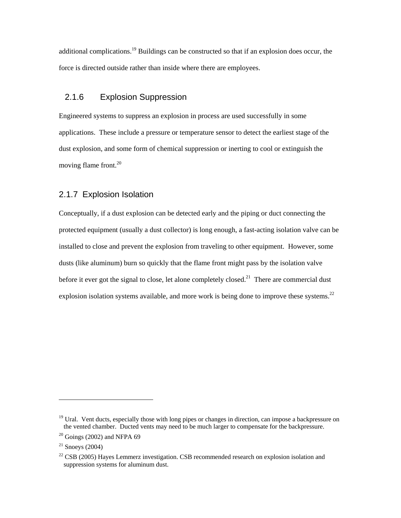additional complications[.19](#page-15-0) Buildings can be constructed so that if an explosion does occur, the force is directed outside rather than inside where there are employees.

### 2.1.6 Explosion Suppression

Engineered systems to suppress an explosion in process are used successfully in some applications. These include a pressure or temperature sensor to detect the earliest stage of the dust explosion, and some form of chemical suppression or inerting to cool or extinguish the moving flame front.<sup>20</sup>

#### 2.1.7 Explosion Isolation

Conceptually, if a dust explosion can be detected early and the piping or duct connecting the protected equipment (usually a dust collector) is long enough, a fast-acting isolation valve can be installed to close and prevent the explosion from traveling to other equipment. However, some dusts (like aluminum) burn so quickly that the flame front might pass by the isolation valve before it ever got the signal to close, let alone completely closed.<sup>21</sup> There are commercial dust explosion isolation systems available, and more work is being done to improve these systems.<sup>[22](#page-15-3)</sup>

<span id="page-15-0"></span><sup>&</sup>lt;sup>19</sup> Ural. Vent ducts, especially those with long pipes or changes in direction, can impose a backpressure on the vented chamber. Ducted vents may need to be much larger to compensate for the backpressure.

<span id="page-15-1"></span> $20$  Goings (2002) and NFPA 69

<span id="page-15-2"></span> $21$  Snoeys (2004)

<span id="page-15-3"></span> $22$  CSB (2005) Hayes Lemmerz investigation. CSB recommended research on explosion isolation and suppression systems for aluminum dust.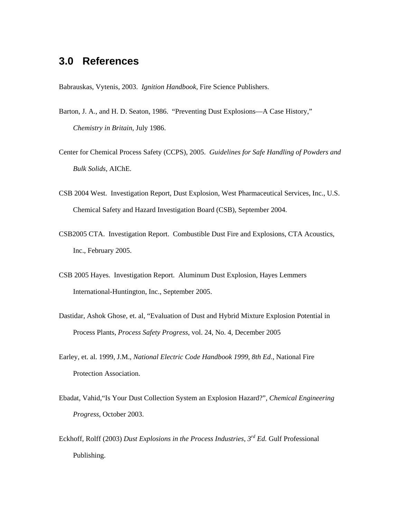# **3.0 References**

Babrauskas, Vytenis, 2003. *Ignition Handbook*, Fire Science Publishers.

- Barton, J. A., and H. D. Seaton, 1986. "Preventing Dust Explosions—A Case History," *Chemistry in Britain*, July 1986.
- Center for Chemical Process Safety (CCPS), 2005. *Guidelines for Safe Handling of Powders and Bulk Solids,* AIChE.
- CSB 2004 West. Investigation Report, Dust Explosion, West Pharmaceutical Services, Inc., U.S. Chemical Safety and Hazard Investigation Board (CSB), September 2004.
- CSB2005 CTA. Investigation Report. Combustible Dust Fire and Explosions, CTA Acoustics, Inc., February 2005.
- CSB 2005 Hayes. Investigation Report. Aluminum Dust Explosion, Hayes Lemmers International-Huntington, Inc., September 2005.
- Dastidar, Ashok Ghose, et. al, "Evaluation of Dust and Hybrid Mixture Explosion Potential in Process Plants, *Process Safety Progress*, vol. 24, No. 4, December 2005
- Earley, et. al. 1999, J.M., *National Electric Code Handbook 1999, 8th Ed*., National Fire Protection Association.
- Ebadat, Vahid,"Is Your Dust Collection System an Explosion Hazard?", *Chemical Engineering Progress,* October 2003.
- Eckhoff, Rolff (2003) *Dust Explosions in the Process Industries, 3rd Ed.* Gulf Professional Publishing.